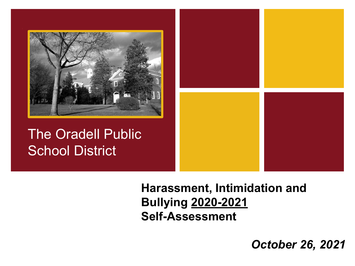

The Oradell Public School District



**Harassment, Intimidation and Bullying 2020-2021 Self-Assessment**

*October 26, 2021*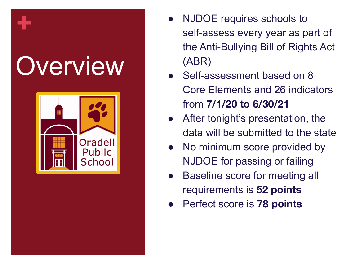# **Overview**

**+**



- NJDOE requires schools to self-assess every year as part of the Anti-Bullying Bill of Rights Act (ABR)
- Self-assessment based on 8 Core Elements and 26 indicators from **7/1/20 to 6/30/21**
- After tonight's presentation, the data will be submitted to the state
- No minimum score provided by NJDOE for passing or failing
- **Baseline score for meeting all** requirements is **52 points**
- Perfect score is **78 points**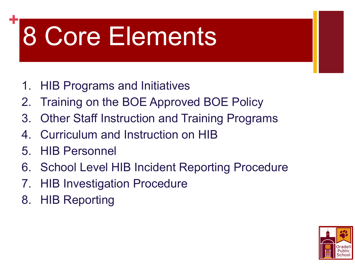# 8 Core Elements

- 1. HIB Programs and Initiatives
- 2. Training on the BOE Approved BOE Policy
- 3. Other Staff Instruction and Training Programs
- 4. Curriculum and Instruction on HIB
- 5. HIB Personnel

**+**

- 6. School Level HIB Incident Reporting Procedure
- 7. HIB Investigation Procedure
- 8. HIB Reporting

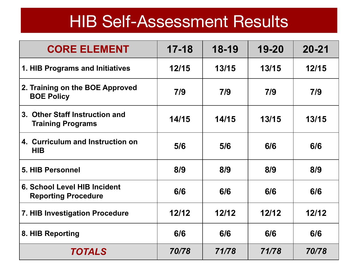#### HIB Self-Assessment Results

| <b>CORE ELEMENT</b>                                        | $17 - 18$ | 18-19 | 19-20 | $20 - 21$ |
|------------------------------------------------------------|-----------|-------|-------|-----------|
| 1. HIB Programs and Initiatives                            | 12/15     | 13/15 | 13/15 | 12/15     |
| 2. Training on the BOE Approved<br><b>BOE Policy</b>       | 7/9       | 7/9   | 7/9   | 7/9       |
| 3. Other Staff Instruction and<br><b>Training Programs</b> | 14/15     | 14/15 | 13/15 | 13/15     |
| 4. Curriculum and Instruction on<br><b>HIB</b>             | 5/6       | 5/6   | 6/6   | 6/6       |
| 5. HIB Personnel                                           | 8/9       | 8/9   | 8/9   | 8/9       |
| 6. School Level HIB Incident<br><b>Reporting Procedure</b> | 6/6       | 6/6   | 6/6   | 6/6       |
| 7. HIB Investigation Procedure                             | 12/12     | 12/12 | 12/12 | 12/12     |
| 8. HIB Reporting                                           | 6/6       | 6/6   | 6/6   | 6/6       |
| <b>TOTALS</b>                                              | 70/78     | 71/78 | 71/78 | 70/78     |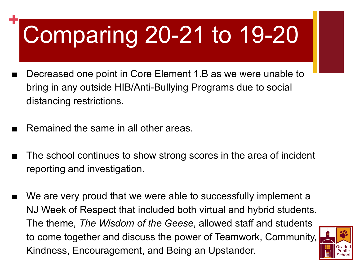# Comparing 20-21 to 19-20

- Decreased one point in Core Element 1.B as we were unable to bring in any outside HIB/Anti-Bullying Programs due to social distancing restrictions.
- Remained the same in all other areas.

**+**

- The school continues to show strong scores in the area of incident reporting and investigation.
- We are very proud that we were able to successfully implement a NJ Week of Respect that included both virtual and hybrid students. The theme, *The Wisdom of the Geese*, allowed staff and students to come together and discuss the power of Teamwork, Community, Kindness, Encouragement, and Being an Upstander.